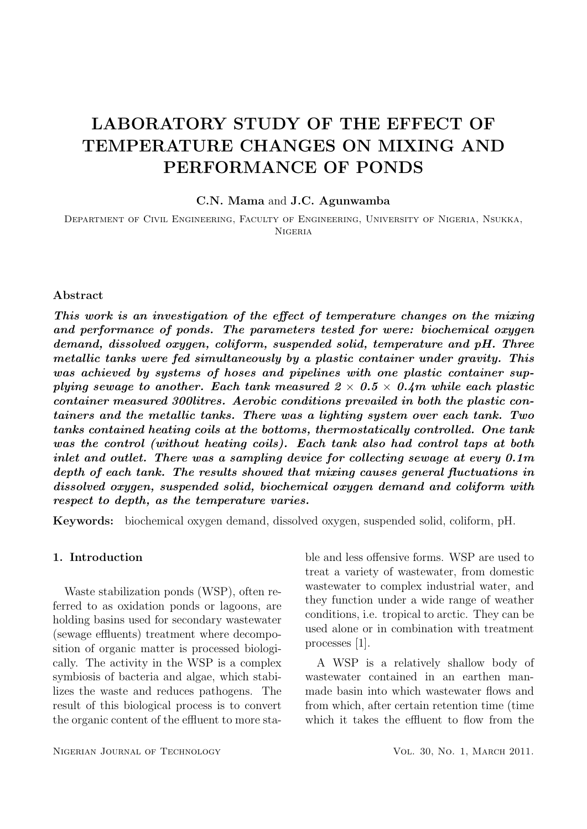# LABORATORY STUDY OF THE EFFECT OF TEMPERATURE CHANGES ON MIXING AND PERFORMANCE OF PONDS

# C.N. Mama and J.C. Agunwamba

Department of Civil Engineering, Faculty of Engineering, University of Nigeria, Nsukka, Nigeria

# Abstract

This work is an investigation of the effect of temperature changes on the mixing and performance of ponds. The parameters tested for were: biochemical oxygen demand, dissolved oxygen, coliform, suspended solid, temperature and pH. Three metallic tanks were fed simultaneously by a plastic container under gravity. This was achieved by systems of hoses and pipelines with one plastic container supplying sewage to another. Each tank measured  $2 \times 0.5 \times 0.4$ m while each plastic container measured 300litres. Aerobic conditions prevailed in both the plastic containers and the metallic tanks. There was a lighting system over each tank. Two tanks contained heating coils at the bottoms, thermostatically controlled. One tank was the control (without heating coils). Each tank also had control taps at both inlet and outlet. There was a sampling device for collecting sewage at every 0.1m depth of each tank. The results showed that mixing causes general fluctuations in dissolved oxygen, suspended solid, biochemical oxygen demand and coliform with respect to depth, as the temperature varies.

Keywords: biochemical oxygen demand, dissolved oxygen, suspended solid, coliform, pH.

# 1. Introduction

Waste stabilization ponds (WSP), often referred to as oxidation ponds or lagoons, are holding basins used for secondary wastewater (sewage effluents) treatment where decomposition of organic matter is processed biologically. The activity in the WSP is a complex symbiosis of bacteria and algae, which stabilizes the waste and reduces pathogens. The result of this biological process is to convert the organic content of the effluent to more stable and less offensive forms. WSP are used to treat a variety of wastewater, from domestic wastewater to complex industrial water, and they function under a wide range of weather conditions, i.e. tropical to arctic. They can be used alone or in combination with treatment processes [1].

A WSP is a relatively shallow body of wastewater contained in an earthen manmade basin into which wastewater flows and from which, after certain retention time (time which it takes the effluent to flow from the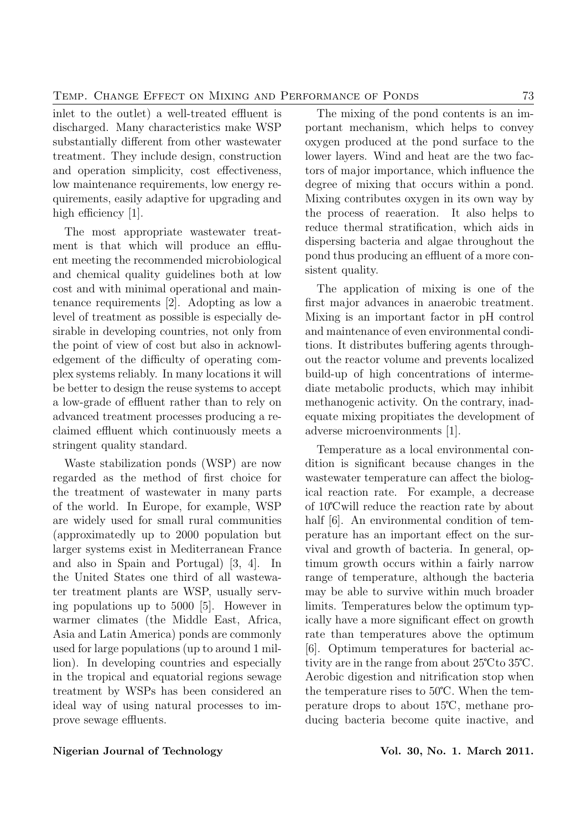inlet to the outlet) a well-treated effluent is discharged. Many characteristics make WSP substantially different from other wastewater treatment. They include design, construction and operation simplicity, cost effectiveness, low maintenance requirements, low energy requirements, easily adaptive for upgrading and high efficiency [1].

The most appropriate wastewater treatment is that which will produce an effluent meeting the recommended microbiological and chemical quality guidelines both at low cost and with minimal operational and maintenance requirements [2]. Adopting as low a level of treatment as possible is especially desirable in developing countries, not only from the point of view of cost but also in acknowledgement of the difficulty of operating complex systems reliably. In many locations it will be better to design the reuse systems to accept a low-grade of effluent rather than to rely on advanced treatment processes producing a reclaimed effluent which continuously meets a stringent quality standard.

Waste stabilization ponds (WSP) are now regarded as the method of first choice for the treatment of wastewater in many parts of the world. In Europe, for example, WSP are widely used for small rural communities (approximatedly up to 2000 population but larger systems exist in Mediterranean France and also in Spain and Portugal) [3, 4]. In the United States one third of all wastewater treatment plants are WSP, usually serving populations up to 5000 [5]. However in warmer climates (the Middle East, Africa, Asia and Latin America) ponds are commonly used for large populations (up to around 1 million). In developing countries and especially in the tropical and equatorial regions sewage treatment by WSPs has been considered an ideal way of using natural processes to improve sewage effluents.

The mixing of the pond contents is an important mechanism, which helps to convey oxygen produced at the pond surface to the lower layers. Wind and heat are the two factors of major importance, which influence the degree of mixing that occurs within a pond. Mixing contributes oxygen in its own way by the process of reaeration. It also helps to reduce thermal stratification, which aids in dispersing bacteria and algae throughout the pond thus producing an effluent of a more consistent quality.

The application of mixing is one of the first major advances in anaerobic treatment. Mixing is an important factor in pH control and maintenance of even environmental conditions. It distributes buffering agents throughout the reactor volume and prevents localized build-up of high concentrations of intermediate metabolic products, which may inhibit methanogenic activity. On the contrary, inadequate mixing propitiates the development of adverse microenvironments [1].

Temperature as a local environmental condition is significant because changes in the wastewater temperature can affect the biological reaction rate. For example, a decrease of 10°C will reduce the reaction rate by about half [6]. An environmental condition of temperature has an important effect on the survival and growth of bacteria. In general, optimum growth occurs within a fairly narrow range of temperature, although the bacteria may be able to survive within much broader limits. Temperatures below the optimum typically have a more significant effect on growth rate than temperatures above the optimum [6]. Optimum temperatures for bacterial activity are in the range from about  $25^{\circ}$ Cto  $35^{\circ}$ C. Aerobic digestion and nitrification stop when the temperature rises to  $50^{\circ}$ C. When the temperature drops to about  $15^{\circ}$ C, methane producing bacteria become quite inactive, and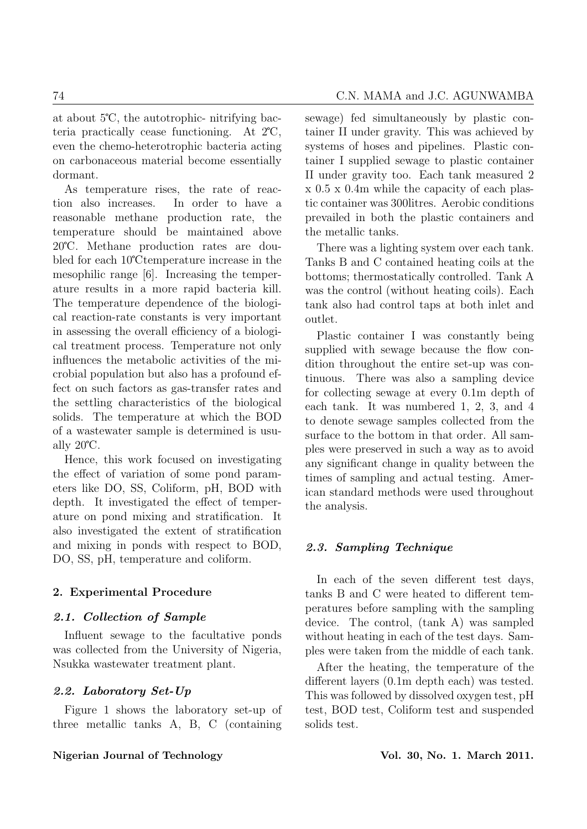74 C.N. MAMA and J.C. AGUNWAMBA

at about  $5^{\circ}$ C, the autotrophic- nitrifying bacteria practically cease functioning. At  $2^{\circ}C$ , even the chemo-heterotrophic bacteria acting on carbonaceous material become essentially dormant.

As temperature rises, the rate of reaction also increases. In order to have a reasonable methane production rate, the temperature should be maintained above 20°C. Methane production rates are doubled for each 10°C temperature increase in the mesophilic range [6]. Increasing the temperature results in a more rapid bacteria kill. The temperature dependence of the biological reaction-rate constants is very important in assessing the overall efficiency of a biological treatment process. Temperature not only influences the metabolic activities of the microbial population but also has a profound effect on such factors as gas-transfer rates and the settling characteristics of the biological solids. The temperature at which the BOD of a wastewater sample is determined is usually  $20^{\circ}$ C.

Hence, this work focused on investigating the effect of variation of some pond parameters like DO, SS, Coliform, pH, BOD with depth. It investigated the effect of temperature on pond mixing and stratification. It also investigated the extent of stratification and mixing in ponds with respect to BOD, DO, SS, pH, temperature and coliform.

# 2. Experimental Procedure

# 2.1. Collection of Sample

Influent sewage to the facultative ponds was collected from the University of Nigeria, Nsukka wastewater treatment plant.

### 2.2. Laboratory Set-Up

Figure 1 shows the laboratory set-up of three metallic tanks A, B, C (containing

Nigerian Journal of Technology **Vol. 30, No. 1. March 2011**.

sewage) fed simultaneously by plastic container II under gravity. This was achieved by systems of hoses and pipelines. Plastic container I supplied sewage to plastic container II under gravity too. Each tank measured 2 x 0.5 x 0.4m while the capacity of each plastic container was 300litres. Aerobic conditions prevailed in both the plastic containers and the metallic tanks.

There was a lighting system over each tank. Tanks B and C contained heating coils at the bottoms; thermostatically controlled. Tank A was the control (without heating coils). Each tank also had control taps at both inlet and outlet.

Plastic container I was constantly being supplied with sewage because the flow condition throughout the entire set-up was continuous. There was also a sampling device for collecting sewage at every 0.1m depth of each tank. It was numbered 1, 2, 3, and 4 to denote sewage samples collected from the surface to the bottom in that order. All samples were preserved in such a way as to avoid any significant change in quality between the times of sampling and actual testing. American standard methods were used throughout the analysis.

# 2.3. Sampling Technique

In each of the seven different test days, tanks B and C were heated to different temperatures before sampling with the sampling device. The control, (tank A) was sampled without heating in each of the test days. Samples were taken from the middle of each tank.

After the heating, the temperature of the different layers (0.1m depth each) was tested. This was followed by dissolved oxygen test, pH test, BOD test, Coliform test and suspended solids test.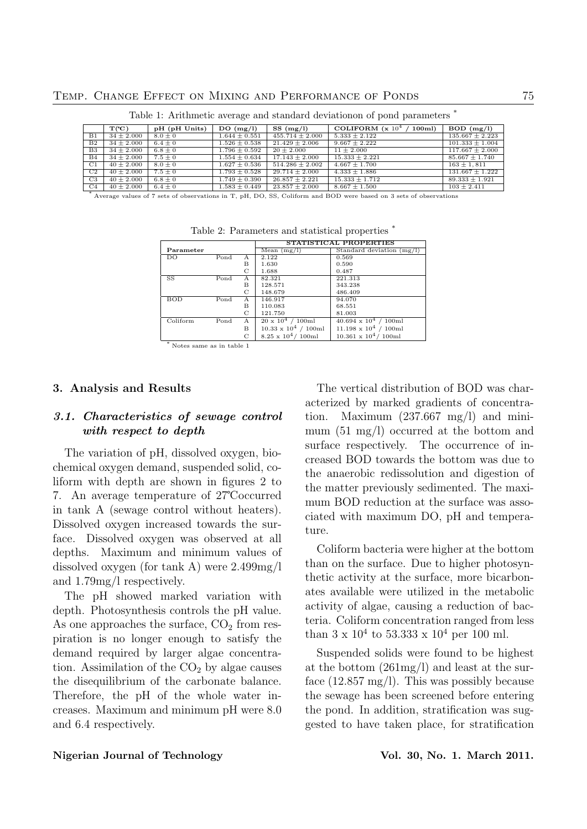|                | $T(^{\circ}C)$ | pH (pH Units) | DO(mg/l)          | SS(mg/l)            | COLIFORM $(x 104)$<br>100ml) | BOD (mg/l)          |
|----------------|----------------|---------------|-------------------|---------------------|------------------------------|---------------------|
| B1             | $34 \pm 2.000$ | $8.0 + 0$     | $1.644 \pm 0.551$ | $455.714 \pm 2.000$ | $5.333 \pm 2.122$            | $135.667 + 2.223$   |
| B <sub>2</sub> | $34 \pm 2.000$ | $6.4 \pm 0$   | $1.526 \pm 0.538$ | $21.429 \pm 2.006$  | $9.667 \pm 2.222$            | $101.333 \pm 1.004$ |
| B <sub>3</sub> | $34 \pm 2.000$ | $6.8 \pm 0$   | $1.796 \pm 0.592$ | $20 \pm 2.000$      | $11 \pm 2.000$               | $117.667 \pm 2.000$ |
| B <sub>4</sub> | $34 \pm 2.000$ | $7.5 \pm 0$   | $1.554 \pm 0.634$ | $17.143 \pm 2.000$  | $15.333 + 2.221$             | $85.667 + 1.740$    |
| C1             | $40 \pm 2.000$ | $8.0 \pm 0$   | $1.627 \pm 0.536$ | $514.286 \pm 2.002$ | $4.667 \pm 1.700$            | $163 \pm 1.811$     |
| C2             | $40 \pm 2.000$ | $7.5 \pm 0$   | $1.793 \pm 0.528$ | $29.714 \pm 2.000$  | $4.333 \pm 1.886$            | $131.667 \pm 1.222$ |
| C3             | $40 \pm 2.000$ | $6.8 + 0$     | $1.749 \pm 0.390$ | $26.857 + 2.221$    | $15.333 + 1.712$             | $89.333 + 1.921$    |
| C <sub>4</sub> | $40 \pm 2.000$ | $6.4 \pm 0$   | $1.583 \pm 0.449$ | $23.857 \pm 2.000$  | $8.667 \pm 1.500$            | $103 \pm 2.411$     |

Table 1: Arithmetic average and standard deviationon of pond parameters  $\dot{\phantom{a}}$ 

\* Average values of 7 sets of observations in T, pH, DO, SS, Coliform and BOD were based on 3 sets of observations

|            |      |              | STATISTICAL PROPERTIES      |                               |  |
|------------|------|--------------|-----------------------------|-------------------------------|--|
| Parameter  |      |              | Mean $(mg/l)$               | Standard deviation $(mg/l)$   |  |
| DO         | Pond | А            | 2.122                       | 0.569                         |  |
|            |      | В            | 1.630                       | 0.590                         |  |
|            |      | С            | 1.688                       | 0.487                         |  |
| <b>SS</b>  | Pond | А            | 82.321                      | 221.313                       |  |
|            |      | В            | 128.571                     | 343.238                       |  |
|            |      | C            | 148.679                     | 486.409                       |  |
| <b>BOD</b> | Pond | $\mathsf{A}$ | 146.917                     | 94.070                        |  |
|            |      | В            | 110.083                     | 68.551                        |  |
|            |      | C            | 121.750                     | 81.003                        |  |
| Coliform   | Pond | А            | $20 \times 10^4 / 100$ ml   | $40.694 \times 10^4$ / 100ml  |  |
|            |      | B            | $10.33 \times 10^4$ / 100ml | $11.198 \times 10^4$ / 100ml  |  |
|            |      | C            | $8.25 \times 10^4 / 100$ ml | $10.361 \times 10^4 / 100$ ml |  |

Table 2: Parameters and statistical properties \*

Notes same as in table 1

### 3. Analysis and Results

# 3.1. Characteristics of sewage control with respect to depth

The variation of pH, dissolved oxygen, biochemical oxygen demand, suspended solid, coliform with depth are shown in figures 2 to 7. An average temperature of 27°C occurred in tank A (sewage control without heaters). Dissolved oxygen increased towards the surface. Dissolved oxygen was observed at all depths. Maximum and minimum values of dissolved oxygen (for tank A) were 2.499mg/l and 1.79mg/l respectively.

The pH showed marked variation with depth. Photosynthesis controls the pH value. As one approaches the surface,  $CO<sub>2</sub>$  from respiration is no longer enough to satisfy the demand required by larger algae concentration. Assimilation of the  $CO<sub>2</sub>$  by algae causes the disequilibrium of the carbonate balance. Therefore, the pH of the whole water increases. Maximum and minimum pH were 8.0 and 6.4 respectively.

The vertical distribution of BOD was characterized by marked gradients of concentration. Maximum  $(237.667 \text{ mg/l})$  and minimum (51 mg/l) occurred at the bottom and surface respectively. The occurrence of increased BOD towards the bottom was due to the anaerobic redissolution and digestion of the matter previously sedimented. The maximum BOD reduction at the surface was associated with maximum DO, pH and temperature.

Coliform bacteria were higher at the bottom than on the surface. Due to higher photosynthetic activity at the surface, more bicarbonates available were utilized in the metabolic activity of algae, causing a reduction of bacteria. Coliform concentration ranged from less than  $3 \times 10^4$  to  $53.333 \times 10^4$  per 100 ml.

Suspended solids were found to be highest at the bottom (261mg/l) and least at the surface (12.857 mg/l). This was possibly because the sewage has been screened before entering the pond. In addition, stratification was suggested to have taken place, for stratification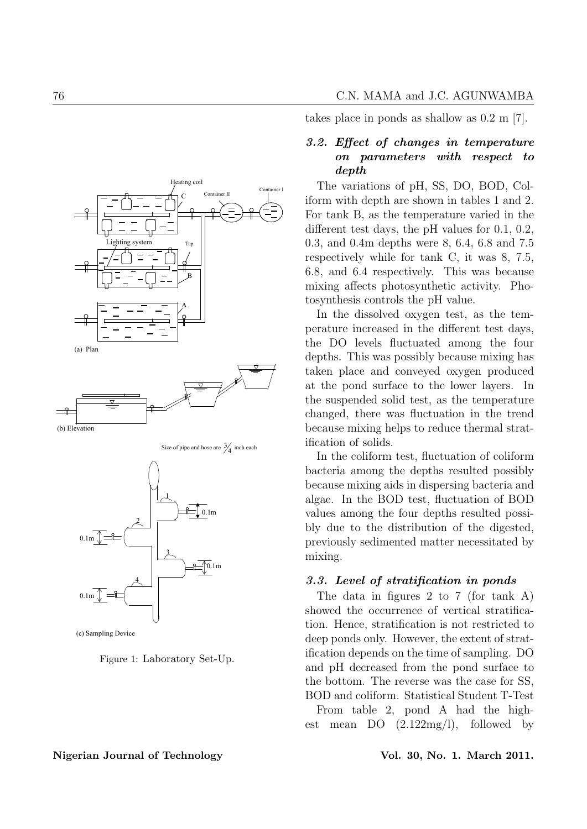

(c) Sampling Device

Figure 1: Laboratory Set-Up.

takes place in ponds as shallow as 0.2 m [7].

# 3.2. Effect of changes in temperature on parameters with respect to depth

 $\cdot$  I

The variations of pH, SS, DO, BOD, Coliform with depth are shown in tables 1 and 2. For tank B, as the temperature varied in the different test days, the pH values for 0.1, 0.2, 0.3, and 0.4m depths were 8, 6.4, 6.8 and 7.5 respectively while for tank C, it was 8, 7.5, 6.8, and 6.4 respectively. This was because mixing affects photosynthetic activity. Photosynthesis controls the pH value.

In the dissolved oxygen test, as the temperature increased in the different test days, the DO levels fluctuated among the four depths. This was possibly because mixing has taken place and conveyed oxygen produced at the pond surface to the lower layers. In the suspended solid test, as the temperature changed, there was fluctuation in the trend because mixing helps to reduce thermal stratification of solids.

In the coliform test, fluctuation of coliform bacteria among the depths resulted possibly because mixing aids in dispersing bacteria and algae. In the BOD test, fluctuation of BOD values among the four depths resulted possibly due to the distribution of the digested, previously sedimented matter necessitated by mixing.

# 3.3. Level of stratification in ponds

The data in figures 2 to 7 (for tank A) showed the occurrence of vertical stratification. Hence, stratification is not restricted to deep ponds only. However, the extent of stratification depends on the time of sampling. DO and pH decreased from the pond surface to the bottom. The reverse was the case for SS, BOD and coliform. Statistical Student T-Test

From table 2, pond A had the highest mean DO (2.122mg/l), followed by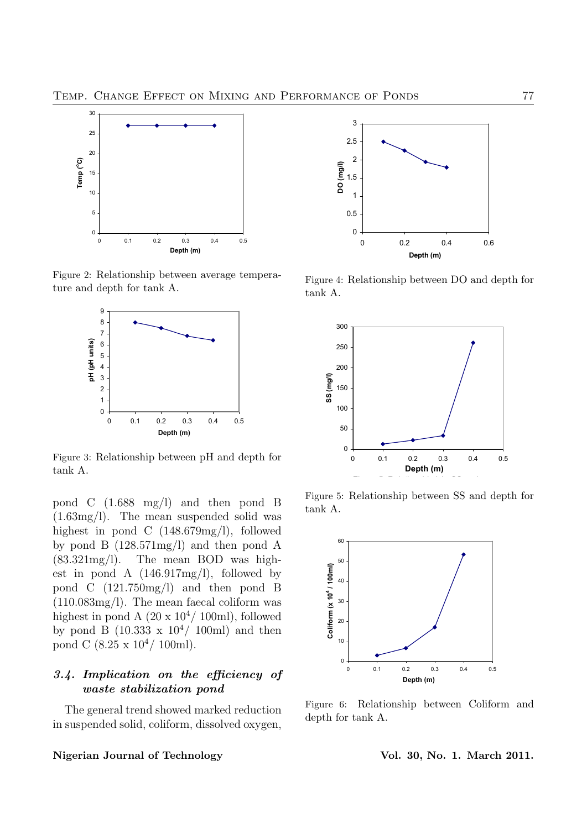

Figure 2: Relationship between average temperature and depth for tank A.



Figure 3: Relationship between pH and depth for tank A.

pond C (1.688 mg/l) and then pond B (1.63mg/l). The mean suspended solid was highest in pond C (148.679mg/l), followed by pond B (128.571mg/l) and then pond A (83.321mg/l). The mean BOD was highest in pond A (146.917mg/l), followed by pond C (121.750mg/l) and then pond B (110.083mg/l). The mean faecal coliform was highest in pond A  $(20 \times 10^4 / 100 \text{ml})$ , followed by pond B  $(10.333 \times 10^4 / 100 \text{ml})$  and then pond C  $(8.25 \times 10^4 / 100 \text{ml})$ .

# 3.4. Implication on the efficiency of waste stabilization pond

The general trend showed marked reduction in suspended solid, coliform, dissolved oxygen,



Figure 4: Relationship between DO and depth for tank A.



Figure 5: Relationship between SS and depth for tank A.



Figure 6: Relationship between Coliform and depth for tank A.